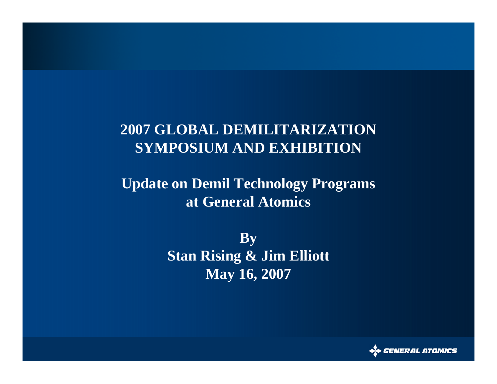### **2007 GLOBAL DEMILITARIZATIONSYMPOSIUM AND EXHIBITION**

### **Update on Demil Technology Programs at General Atomics**

**By Stan Rising & Jim Elliott May 16, 2007**

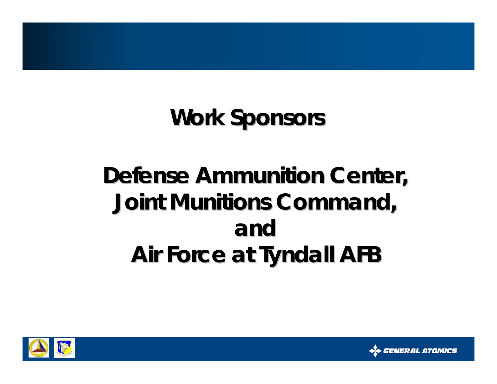## **Work Sponsors Work Sponsors**

## **Defense Ammunition Center, Joint Munitions Command, Joint Munitions Command, andAir Force at Tyndall AFB Air Force at Tyndall AFB**



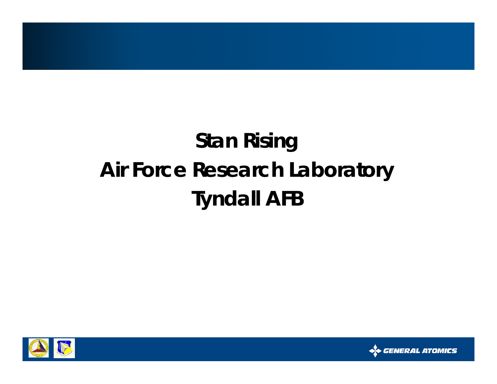## **Stan Rising Air Force Research Laboratory Tyndall AFB**



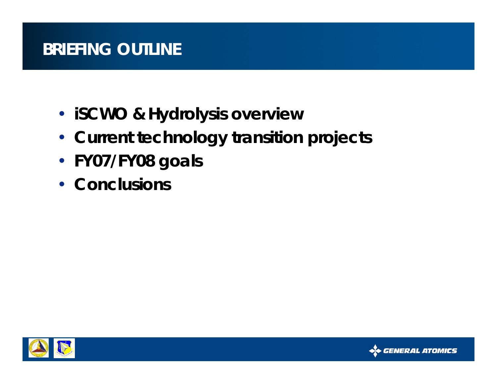### **BRIEFING OUTLINE**

- **iSCWO & Hydrolysis overview**
- **Current technology transition projects**
- **FY07/FY08 goals**
- **Conclusions**



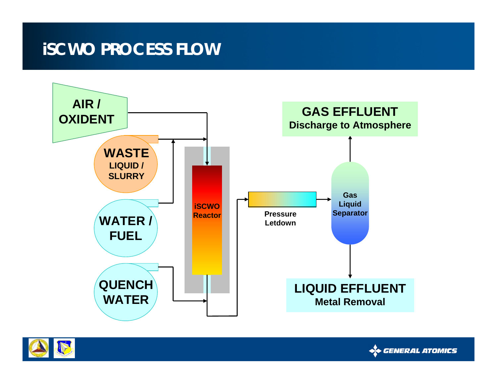### **iSCWO PROCESS FLOW**





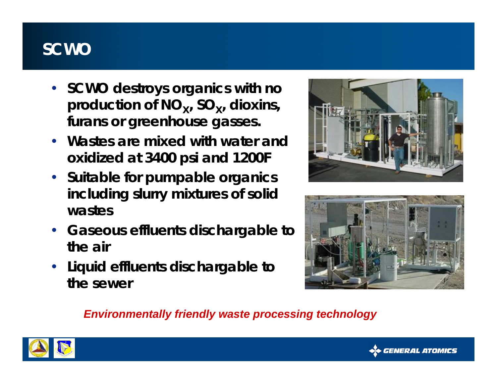### **SCWO**

- **SCWO destroys organics with no**  production of NO<sub>x</sub>, SO<sub>x</sub>, dioxins, **furans or greenhouse gasses.**
- **Wastes are mixed with water and oxidized at 3400 psi and 1200F**
- **Suitable for pumpable organics including slurry mixtures of solid wastes**
- **Gaseous effluents dischargable to the air**
- **Liquid effluents dischargable to the sewer**





*Environmentally friendly waste processing technology*



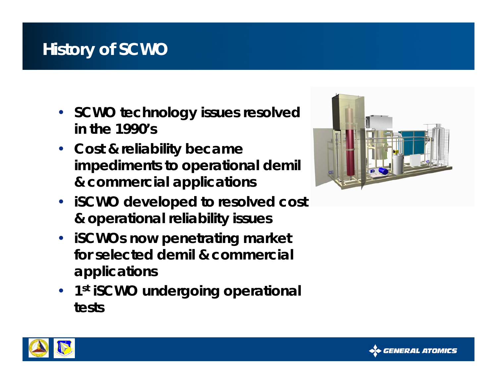### **History of SCWO**

- **SCWO technology issues resolved in the 1990's**
- **Cost & reliability became impediments to operational demil & commercial applications**
- **iSCWO developed to resolved cost & operational reliability issues**
- **iSCWOs now penetrating market for selected demil & commercial applications**
- **1s<sup>t</sup> iSCWO undergoing operational tests**





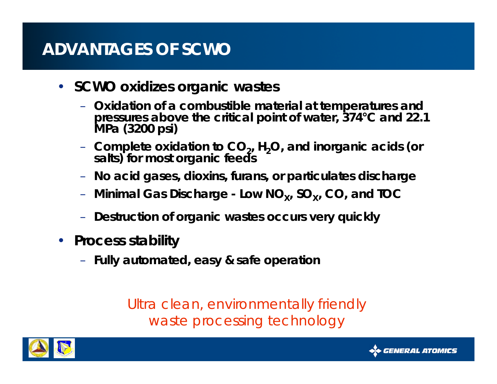### **ADVANTAGES OF SCWO**

- **SCWO oxidizes organic wastes**
	- **Oxidation of a combustible material at temperatures and pressures above the critical point of water, 374°C and 22.1 MPa (3200 psi)**
	- Complete oxidation to CO<sub>2</sub>, H<sub>2</sub>O, and inorganic acids (or salts) for most organic feeds
	- **No acid gases, dioxins, furans, or particulates discharge**
	- **Minimal Gas Discharge - Low NO X, SO X, CO, and TOC**
	- **Destruction of organic wastes occurs very quickly**
- **Process stability**
	- **Fully automated, easy & safe operation**

*Ultra clean, environmentally friendly waste processing technology*



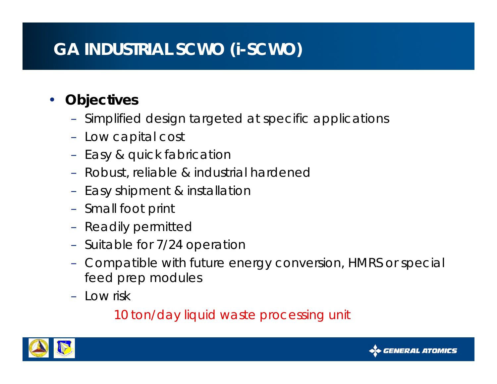### **GA INDUSTRIAL SCWO (i-SCWO)**

#### •**Objectives**

- Simplified design targeted at specific applications
- Low capital cost
- Easy & quick fabrication
- Robust, reliable & industrial hardened
- Easy shipment & installation
- Small foot print
- Readily permittec
- Suitable for 7/24 operation
- Compatible with future energy conversion, HMRS or special feed prep modules
- Low risk

*10 ton/day liquid waste processing unit*



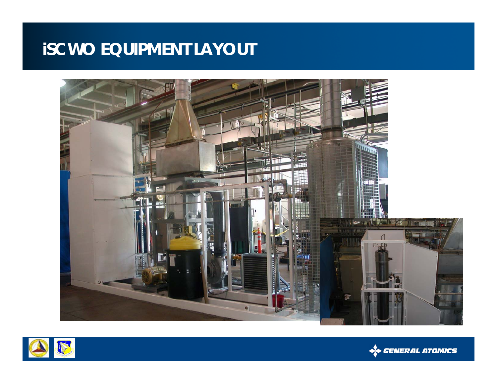### **iSCWO EQUIPMENT LAYOUT**





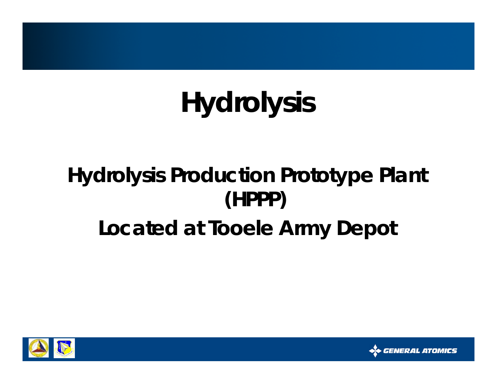# **Hydrolysis**

## **Hydrolysis Production Prototype Plant (HPPP) Located at Tooele Army Depot**



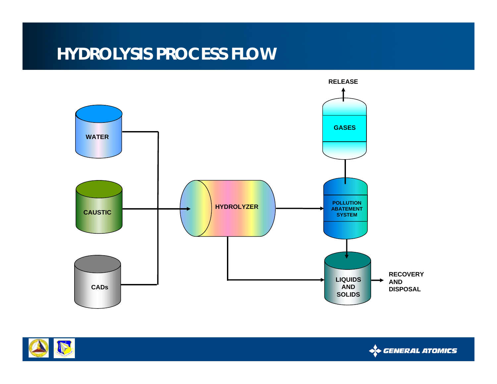### **HYDROLYSIS PROCESS FLOW**





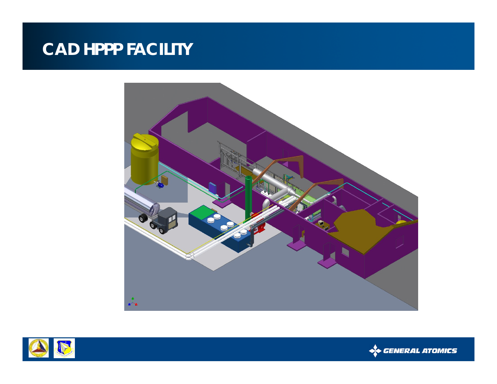### **CAD HPPP FACILITY**





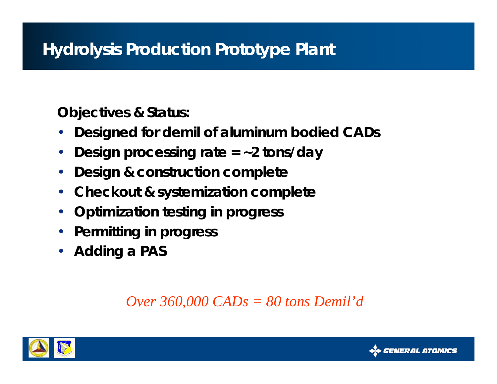**Objectives & Status:**

- •**Designed for demil of aluminum bodied CADs**
- •**Design processing rate = ~2 tons/day**
- •**Design & construction complete**
- •**Checkout & systemization complete**
- •**Optimization testing in progress**
- •**Permitting in progress**
- •**Adding a PAS**

*Over 360,000 CADs = 80 tons Demil'd*



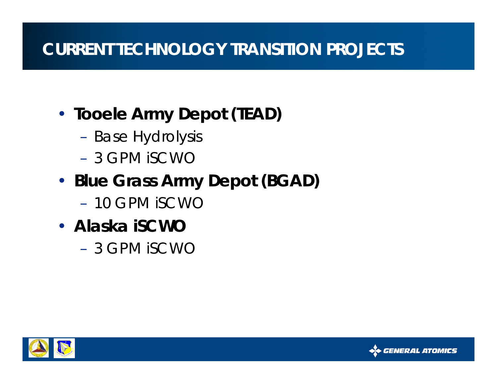### **CURRENT TECHNOLOGY TRANSITION PROJECTS**

- • **Tooele Army Depot (TEAD)**
	- Base Hydrolysis
	- 3 GPM iSCWO
- • **Blue Grass Army Depot (BGAD)**
	- 10 GPM iSCWO
- **Alaska iSCWO**
	- 3 GPM iSCWO



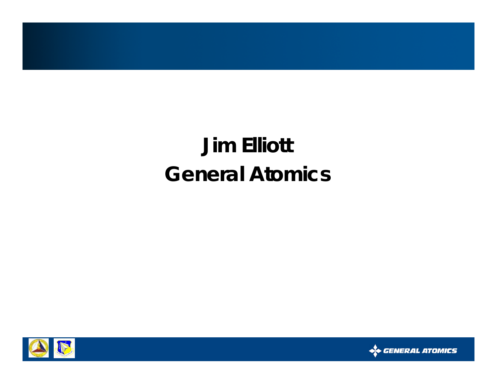## **Jim Elliott General Atomics**



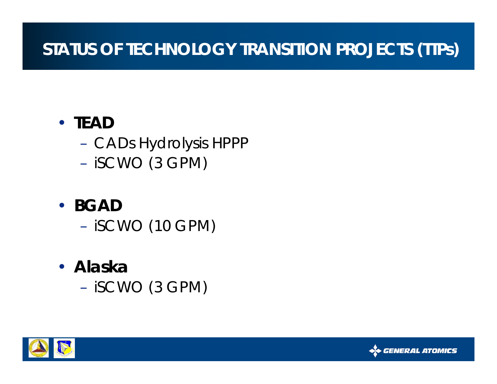### **STATUS OF TECHNOLOGY TRANSITION PROJECTS (TTPs)**

### • **TEAD**

- CADs Hydrolysis HPPP
- iSCWO (3 GPM)
- **BGAD**
	- iSCWO (10 GPM)
- **Alaska** 
	- iSCWO (3 GPM)



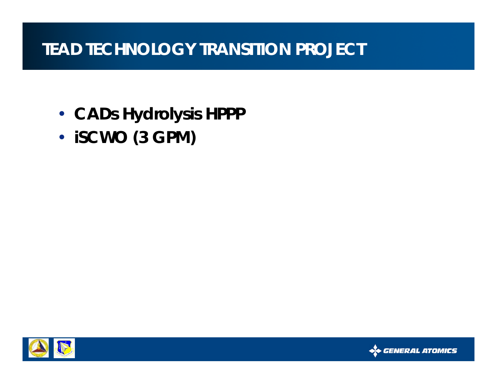### **TEAD TECHNOLOGY TRANSITION PROJECT**

- **CADs Hydrolysis HPPP**
- •**iSCWO (3 GPM)**



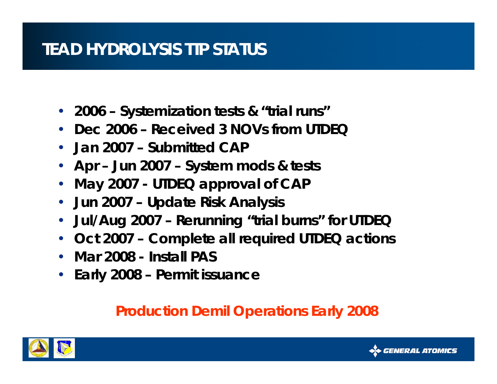### **TEAD HYDROLYSIS TTP STATUS**

- **2006 – Systemization tests & "trial runs"**
- **Dec 2006 – Received 3 NOVs from UTDEQ**
- **Jan 2007 – Submitted CAP**
- **Apr – Jun 2007 – System mods & tests**
- •**May 2007 - UTDEQ approval of CAP**
- $\bullet$ **Jun 2007 – Update Risk Analysis**
- $\bullet$ **Jul/Aug 2007 – Rerunning "trial burns" for UTDEQ**
- •**Oct 2007 – Complete all required UTDEQ actions**
- **Mar 2008 - Install PAS**
- •**Early 2008 – Permit issuance**

#### *Production Demil Operations Early 2008*



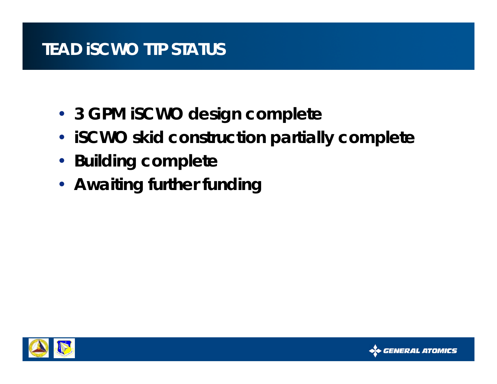### **TEAD iSCWO TTP STATUS**

- **3 GPM iSCWO design complete**
- **iSCWO skid construction partially complete**
- **Building complete**
- **Awaiting further funding**



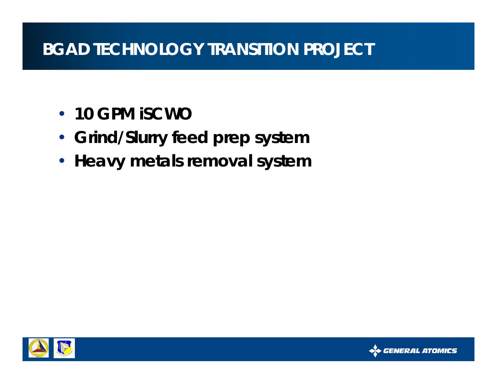### **BGAD TECHNOLOGY TRANSITION PROJECT**

- **10 GPM iSCWO**
- **Grind/Slurry feed prep system**
- **Heavy metals removal system**



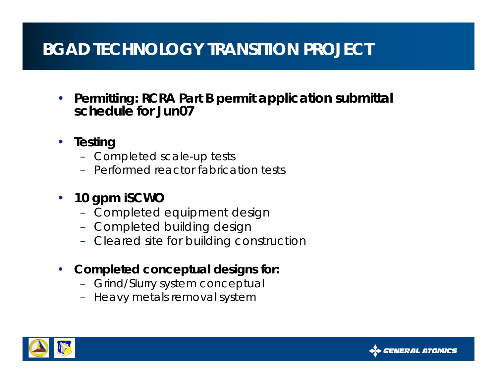### **BGAD TECHNOLOGY TRANSITION PROJECT**

- • **Permitting: RCRA Part B permit application submittal schedule for Jun07**
- **Testing**
	- Completed scale-up tests
	- Performed reactor fabrication tests
- $\bullet$  **10 gpm iSCWO**
	- Completed equipment design
	- Completed building design
	- Cleared site for building construction
- $\bullet$  **Completed conceptual designs for:**
	- Grind/Slurry system conceptual
	- Heavy metals removal system



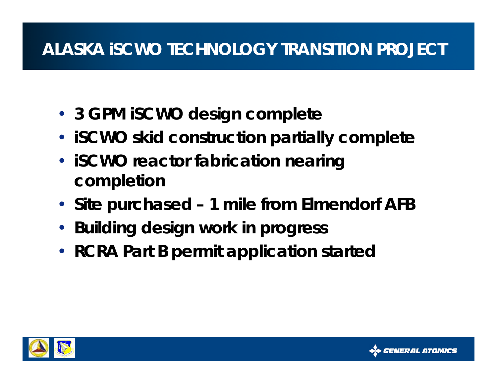### **ALASKA iSCWO TECHNOLOGY TRANSITION PROJECT**

- **3 GPM iSCWO design complete**
- **iSCWO skid construction partially complete**
- **iSCWO reactor fabrication nearing completion**
- **Site purchased – 1 mile from Elmendorf AFB**
- **Building design work in progress**
- **RCRA Part B permit application started**



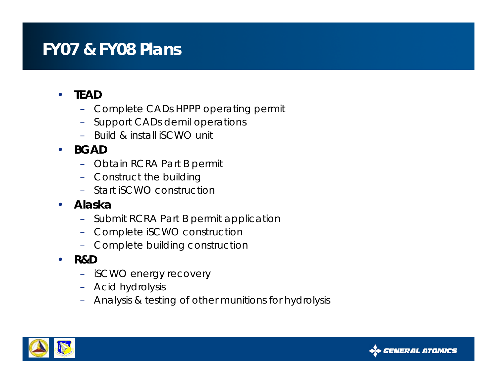### **FY07 & FY08 Plans**

#### •**TEAD**

- Complete CADs HPPP operating permit
- –Support CADs demil operations
- Build & install iSCWO unit

#### •**BGAD**

- Obtain RCRA Part B permit
- Construct the building
- Start iSCWO construction

#### •**Alaska**

- Submit RCRA Part B permit application
- Complete iSCWO construction
- Complete building construction
- • **R&D**
	- iSCWO energy recovery
	- Acid hydrolysis
	- Analysis & testing of other munitions for hydrolysis